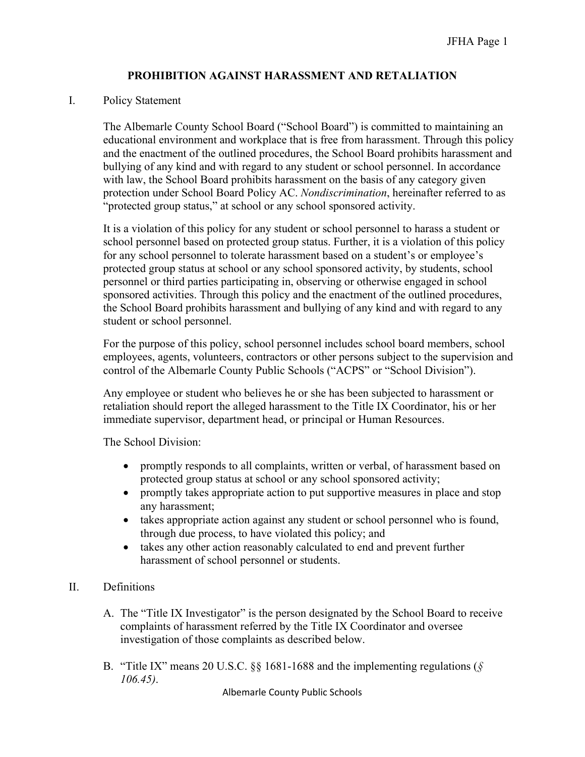### **PROHIBITION AGAINST HARASSMENT AND RETALIATION**

#### I. Policy Statement

The Albemarle County School Board ("School Board") is committed to maintaining an educational environment and workplace that is free from harassment. Through this policy and the enactment of the outlined procedures, the School Board prohibits harassment and bullying of any kind and with regard to any student or school personnel. In accordance with law, the School Board prohibits harassment on the basis of any category given protection under School Board Policy AC. *Nondiscrimination*, hereinafter referred to as "protected group status," at school or any school sponsored activity.

It is a violation of this policy for any student or school personnel to harass a student or school personnel based on protected group status. Further, it is a violation of this policy for any school personnel to tolerate harassment based on a student's or employee's protected group status at school or any school sponsored activity, by students, school personnel or third parties participating in, observing or otherwise engaged in school sponsored activities. Through this policy and the enactment of the outlined procedures, the School Board prohibits harassment and bullying of any kind and with regard to any student or school personnel.

For the purpose of this policy, school personnel includes school board members, school employees, agents, volunteers, contractors or other persons subject to the supervision and control of the Albemarle County Public Schools ("ACPS" or "School Division").

Any employee or student who believes he or she has been subjected to harassment or retaliation should report the alleged harassment to the Title IX Coordinator, his or her immediate supervisor, department head, or principal or Human Resources.

The School Division:

- promptly responds to all complaints, written or verbal, of harassment based on protected group status at school or any school sponsored activity;
- promptly takes appropriate action to put supportive measures in place and stop any harassment;
- takes appropriate action against any student or school personnel who is found, through due process, to have violated this policy; and
- takes any other action reasonably calculated to end and prevent further harassment of school personnel or students.

### II. Definitions

- A. The "Title IX Investigator" is the person designated by the School Board to receive complaints of harassment referred by the Title IX Coordinator and oversee investigation of those complaints as described below.
- B. "Title IX" means 20 U.S.C. §§ 1681-1688 and the implementing regulations (*§ 106.45)*.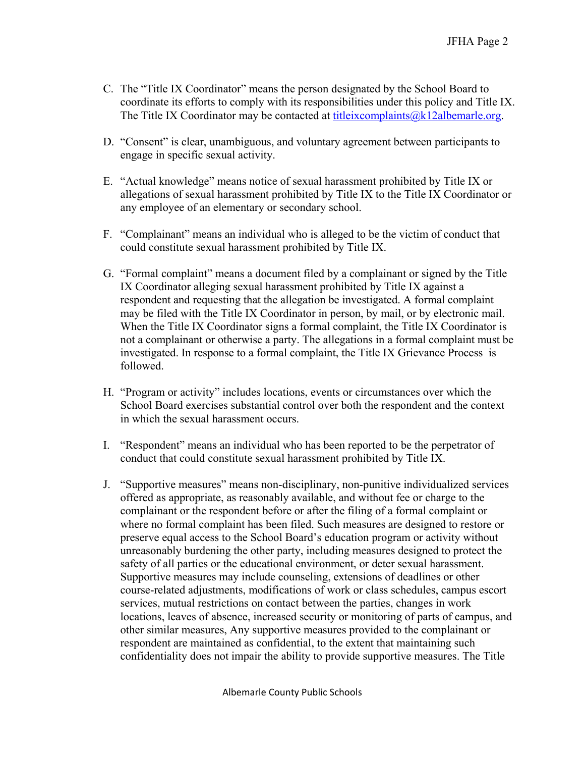- C. The "Title IX Coordinator" means the person designated by the School Board to coordinate its efforts to comply with its responsibilities under this policy and Title IX. The Title IX Coordinator may be contacted at titleix complaints  $@k12$ albemarle.org.
- D. "Consent" is clear, unambiguous, and voluntary agreement between participants to engage in specific sexual activity.
- E. "Actual knowledge" means notice of sexual harassment prohibited by Title IX or allegations of sexual harassment prohibited by Title IX to the Title IX Coordinator or any employee of an elementary or secondary school.
- F. "Complainant" means an individual who is alleged to be the victim of conduct that could constitute sexual harassment prohibited by Title IX.
- G. "Formal complaint" means a document filed by a complainant or signed by the Title IX Coordinator alleging sexual harassment prohibited by Title IX against a respondent and requesting that the allegation be investigated. A formal complaint may be filed with the Title IX Coordinator in person, by mail, or by electronic mail. When the Title IX Coordinator signs a formal complaint, the Title IX Coordinator is not a complainant or otherwise a party. The allegations in a formal complaint must be investigated. In response to a formal complaint, the Title IX Grievance Process is followed.
- H. "Program or activity" includes locations, events or circumstances over which the School Board exercises substantial control over both the respondent and the context in which the sexual harassment occurs.
- I. "Respondent" means an individual who has been reported to be the perpetrator of conduct that could constitute sexual harassment prohibited by Title IX.
- J. "Supportive measures" means non-disciplinary, non-punitive individualized services offered as appropriate, as reasonably available, and without fee or charge to the complainant or the respondent before or after the filing of a formal complaint or where no formal complaint has been filed. Such measures are designed to restore or preserve equal access to the School Board's education program or activity without unreasonably burdening the other party, including measures designed to protect the safety of all parties or the educational environment, or deter sexual harassment. Supportive measures may include counseling, extensions of deadlines or other course-related adjustments, modifications of work or class schedules, campus escort services, mutual restrictions on contact between the parties, changes in work locations, leaves of absence, increased security or monitoring of parts of campus, and other similar measures, Any supportive measures provided to the complainant or respondent are maintained as confidential, to the extent that maintaining such confidentiality does not impair the ability to provide supportive measures. The Title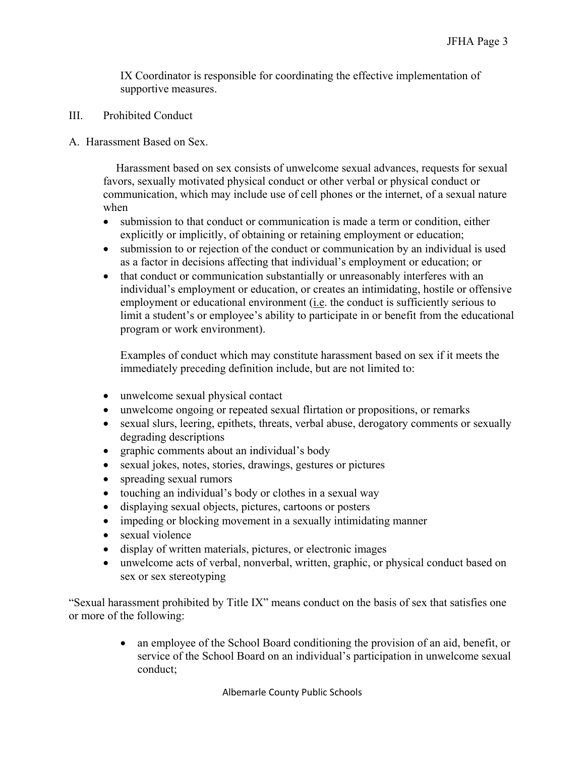IX Coordinator is responsible for coordinating the effective implementation of supportive measures.

- III. Prohibited Conduct
- A. Harassment Based on Sex.

Harassment based on sex consists of unwelcome sexual advances, requests for sexual favors, sexually motivated physical conduct or other verbal or physical conduct or communication, which may include use of cell phones or the internet, of a sexual nature when

- submission to that conduct or communication is made a term or condition, either explicitly or implicitly, of obtaining or retaining employment or education;
- submission to or rejection of the conduct or communication by an individual is used as a factor in decisions affecting that individual's employment or education; or
- that conduct or communication substantially or unreasonably interferes with an individual's employment or education, or creates an intimidating, hostile or offensive employment or educational environment (i.e. the conduct is sufficiently serious to limit a student's or employee's ability to participate in or benefit from the educational program or work environment).

Examples of conduct which may constitute harassment based on sex if it meets the immediately preceding definition include, but are not limited to:

- unwelcome sexual physical contact
- unwelcome ongoing or repeated sexual flirtation or propositions, or remarks
- sexual slurs, leering, epithets, threats, verbal abuse, derogatory comments or sexually degrading descriptions
- graphic comments about an individual's body
- sexual jokes, notes, stories, drawings, gestures or pictures
- spreading sexual rumors
- touching an individual's body or clothes in a sexual way
- displaying sexual objects, pictures, cartoons or posters
- impeding or blocking movement in a sexually intimidating manner
- sexual violence
- display of written materials, pictures, or electronic images
- unwelcome acts of verbal, nonverbal, written, graphic, or physical conduct based on sex or sex stereotyping

"Sexual harassment prohibited by Title IX" means conduct on the basis of sex that satisfies one or more of the following:

> • an employee of the School Board conditioning the provision of an aid, benefit, or service of the School Board on an individual's participation in unwelcome sexual conduct;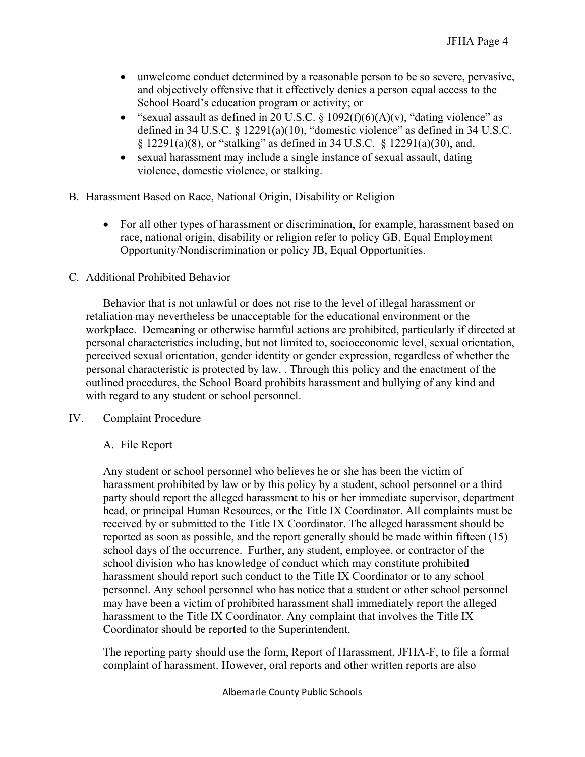- unwelcome conduct determined by a reasonable person to be so severe, pervasive, and objectively offensive that it effectively denies a person equal access to the School Board's education program or activity; or
- "sexual assault as defined in 20 U.S.C.  $\S$  1092(f)(6)(A)(v), "dating violence" as defined in 34 U.S.C. § 12291(a)(10), "domestic violence" as defined in 34 U.S.C. § 12291(a)(8), or "stalking" as defined in 34 U.S.C. § 12291(a)(30), and,
- sexual harassment may include a single instance of sexual assault, dating violence, domestic violence, or stalking.
- B. Harassment Based on Race, National Origin, Disability or Religion
	- For all other types of harassment or discrimination, for example, harassment based on race, national origin, disability or religion refer to policy GB, Equal Employment Opportunity/Nondiscrimination or policy JB, Equal Opportunities.

## C. Additional Prohibited Behavior

Behavior that is not unlawful or does not rise to the level of illegal harassment or retaliation may nevertheless be unacceptable for the educational environment or the workplace. Demeaning or otherwise harmful actions are prohibited, particularly if directed at personal characteristics including, but not limited to, socioeconomic level, sexual orientation, perceived sexual orientation, gender identity or gender expression, regardless of whether the personal characteristic is protected by law. . Through this policy and the enactment of the outlined procedures, the School Board prohibits harassment and bullying of any kind and with regard to any student or school personnel.

IV. Complaint Procedure

# A. File Report

Any student or school personnel who believes he or she has been the victim of harassment prohibited by law or by this policy by a student, school personnel or a third party should report the alleged harassment to his or her immediate supervisor, department head, or principal Human Resources, or the Title IX Coordinator. All complaints must be received by or submitted to the Title IX Coordinator. The alleged harassment should be reported as soon as possible, and the report generally should be made within fifteen (15) school days of the occurrence. Further, any student, employee, or contractor of the school division who has knowledge of conduct which may constitute prohibited harassment should report such conduct to the Title IX Coordinator or to any school personnel. Any school personnel who has notice that a student or other school personnel may have been a victim of prohibited harassment shall immediately report the alleged harassment to the Title IX Coordinator. Any complaint that involves the Title IX Coordinator should be reported to the Superintendent.

The reporting party should use the form, Report of Harassment, JFHA-F, to file a formal complaint of harassment. However, oral reports and other written reports are also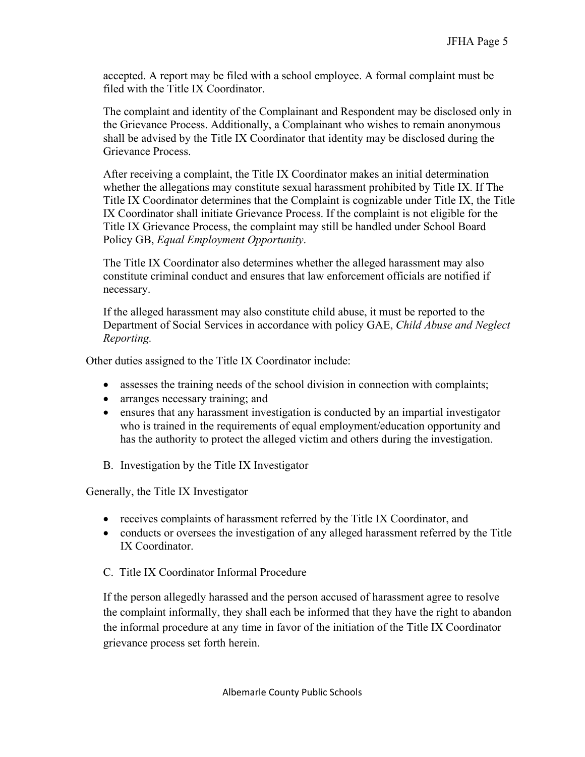accepted. A report may be filed with a school employee. A formal complaint must be filed with the Title IX Coordinator.

The complaint and identity of the Complainant and Respondent may be disclosed only in the Grievance Process. Additionally, a Complainant who wishes to remain anonymous shall be advised by the Title IX Coordinator that identity may be disclosed during the Grievance Process.

After receiving a complaint, the Title IX Coordinator makes an initial determination whether the allegations may constitute sexual harassment prohibited by Title IX. If The Title IX Coordinator determines that the Complaint is cognizable under Title IX, the Title IX Coordinator shall initiate Grievance Process. If the complaint is not eligible for the Title IX Grievance Process, the complaint may still be handled under School Board Policy GB, *Equal Employment Opportunity*.

The Title IX Coordinator also determines whether the alleged harassment may also constitute criminal conduct and ensures that law enforcement officials are notified if necessary.

If the alleged harassment may also constitute child abuse, it must be reported to the Department of Social Services in accordance with policy GAE, *Child Abuse and Neglect Reporting.* 

Other duties assigned to the Title IX Coordinator include:

- assesses the training needs of the school division in connection with complaints;
- arranges necessary training; and
- ensures that any harassment investigation is conducted by an impartial investigator who is trained in the requirements of equal employment/education opportunity and has the authority to protect the alleged victim and others during the investigation.
- B. Investigation by the Title IX Investigator

Generally, the Title IX Investigator

- receives complaints of harassment referred by the Title IX Coordinator, and
- conducts or oversees the investigation of any alleged harassment referred by the Title IX Coordinator.
- C. Title IX Coordinator Informal Procedure

If the person allegedly harassed and the person accused of harassment agree to resolve the complaint informally, they shall each be informed that they have the right to abandon the informal procedure at any time in favor of the initiation of the Title IX Coordinator grievance process set forth herein.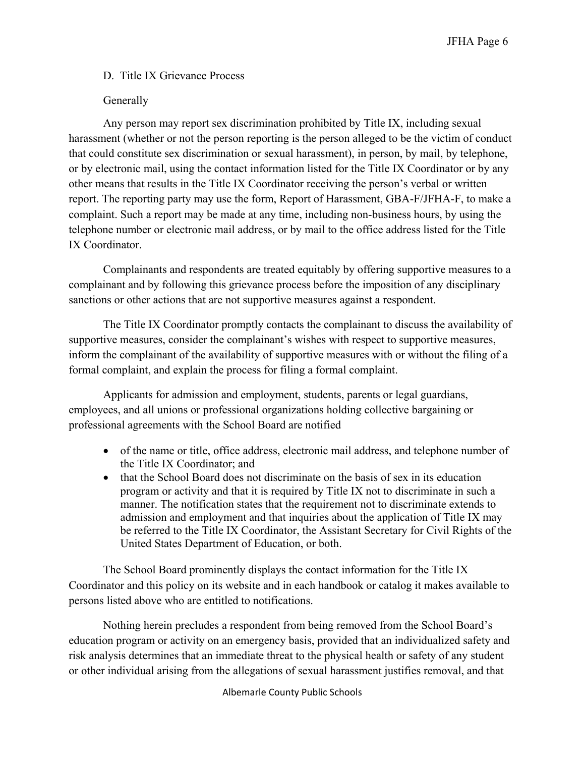## D. Title IX Grievance Process

# Generally

Any person may report sex discrimination prohibited by Title IX, including sexual harassment (whether or not the person reporting is the person alleged to be the victim of conduct that could constitute sex discrimination or sexual harassment), in person, by mail, by telephone, or by electronic mail, using the contact information listed for the Title IX Coordinator or by any other means that results in the Title IX Coordinator receiving the person's verbal or written report. The reporting party may use the form, Report of Harassment, GBA-F/JFHA-F, to make a complaint. Such a report may be made at any time, including non-business hours, by using the telephone number or electronic mail address, or by mail to the office address listed for the Title IX Coordinator.

Complainants and respondents are treated equitably by offering supportive measures to a complainant and by following this grievance process before the imposition of any disciplinary sanctions or other actions that are not supportive measures against a respondent.

The Title IX Coordinator promptly contacts the complainant to discuss the availability of supportive measures, consider the complainant's wishes with respect to supportive measures, inform the complainant of the availability of supportive measures with or without the filing of a formal complaint, and explain the process for filing a formal complaint.

Applicants for admission and employment, students, parents or legal guardians, employees, and all unions or professional organizations holding collective bargaining or professional agreements with the School Board are notified

- of the name or title, office address, electronic mail address, and telephone number of the Title IX Coordinator; and
- that the School Board does not discriminate on the basis of sex in its education program or activity and that it is required by Title IX not to discriminate in such a manner. The notification states that the requirement not to discriminate extends to admission and employment and that inquiries about the application of Title IX may be referred to the Title IX Coordinator, the Assistant Secretary for Civil Rights of the United States Department of Education, or both.

The School Board prominently displays the contact information for the Title IX Coordinator and this policy on its website and in each handbook or catalog it makes available to persons listed above who are entitled to notifications.

Nothing herein precludes a respondent from being removed from the School Board's education program or activity on an emergency basis, provided that an individualized safety and risk analysis determines that an immediate threat to the physical health or safety of any student or other individual arising from the allegations of sexual harassment justifies removal, and that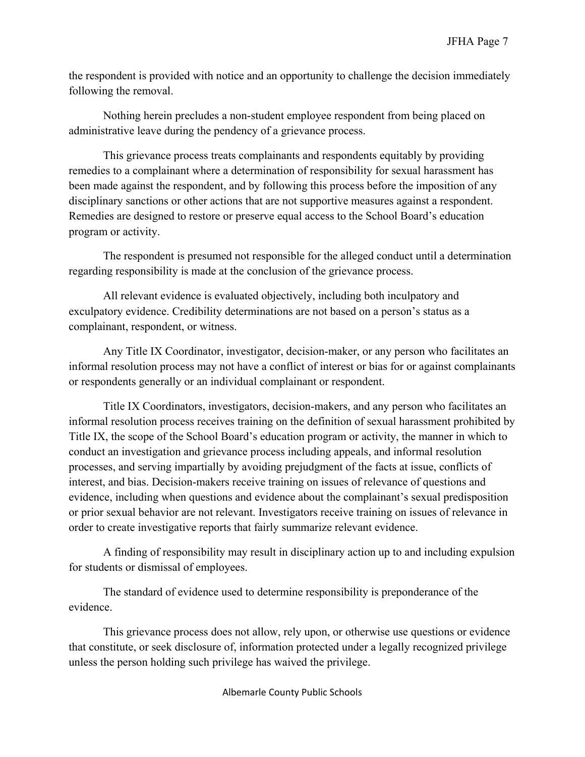the respondent is provided with notice and an opportunity to challenge the decision immediately following the removal.

Nothing herein precludes a non-student employee respondent from being placed on administrative leave during the pendency of a grievance process.

This grievance process treats complainants and respondents equitably by providing remedies to a complainant where a determination of responsibility for sexual harassment has been made against the respondent, and by following this process before the imposition of any disciplinary sanctions or other actions that are not supportive measures against a respondent. Remedies are designed to restore or preserve equal access to the School Board's education program or activity.

The respondent is presumed not responsible for the alleged conduct until a determination regarding responsibility is made at the conclusion of the grievance process.

All relevant evidence is evaluated objectively, including both inculpatory and exculpatory evidence. Credibility determinations are not based on a person's status as a complainant, respondent, or witness.

Any Title IX Coordinator, investigator, decision-maker, or any person who facilitates an informal resolution process may not have a conflict of interest or bias for or against complainants or respondents generally or an individual complainant or respondent.

Title IX Coordinators, investigators, decision-makers, and any person who facilitates an informal resolution process receives training on the definition of sexual harassment prohibited by Title IX, the scope of the School Board's education program or activity, the manner in which to conduct an investigation and grievance process including appeals, and informal resolution processes, and serving impartially by avoiding prejudgment of the facts at issue, conflicts of interest, and bias. Decision-makers receive training on issues of relevance of questions and evidence, including when questions and evidence about the complainant's sexual predisposition or prior sexual behavior are not relevant. Investigators receive training on issues of relevance in order to create investigative reports that fairly summarize relevant evidence.

A finding of responsibility may result in disciplinary action up to and including expulsion for students or dismissal of employees.

The standard of evidence used to determine responsibility is preponderance of the evidence.

This grievance process does not allow, rely upon, or otherwise use questions or evidence that constitute, or seek disclosure of, information protected under a legally recognized privilege unless the person holding such privilege has waived the privilege.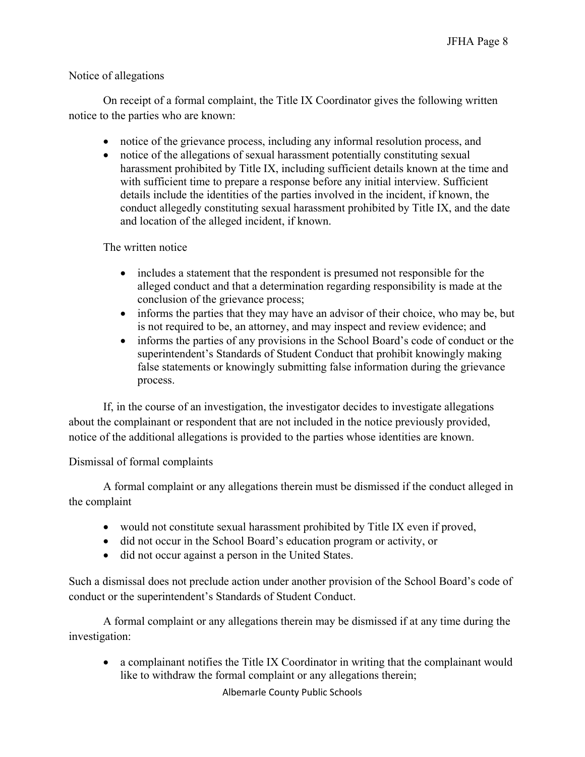### Notice of allegations

On receipt of a formal complaint, the Title IX Coordinator gives the following written notice to the parties who are known:

- notice of the grievance process, including any informal resolution process, and
- notice of the allegations of sexual harassment potentially constituting sexual harassment prohibited by Title IX, including sufficient details known at the time and with sufficient time to prepare a response before any initial interview. Sufficient details include the identities of the parties involved in the incident, if known, the conduct allegedly constituting sexual harassment prohibited by Title IX, and the date and location of the alleged incident, if known.

The written notice

- includes a statement that the respondent is presumed not responsible for the alleged conduct and that a determination regarding responsibility is made at the conclusion of the grievance process;
- informs the parties that they may have an advisor of their choice, who may be, but is not required to be, an attorney, and may inspect and review evidence; and
- informs the parties of any provisions in the School Board's code of conduct or the superintendent's Standards of Student Conduct that prohibit knowingly making false statements or knowingly submitting false information during the grievance process.

If, in the course of an investigation, the investigator decides to investigate allegations about the complainant or respondent that are not included in the notice previously provided, notice of the additional allegations is provided to the parties whose identities are known.

Dismissal of formal complaints

A formal complaint or any allegations therein must be dismissed if the conduct alleged in the complaint

- would not constitute sexual harassment prohibited by Title IX even if proved,
- did not occur in the School Board's education program or activity, or
- did not occur against a person in the United States.

Such a dismissal does not preclude action under another provision of the School Board's code of conduct or the superintendent's Standards of Student Conduct.

A formal complaint or any allegations therein may be dismissed if at any time during the investigation:

• a complainant notifies the Title IX Coordinator in writing that the complainant would like to withdraw the formal complaint or any allegations therein;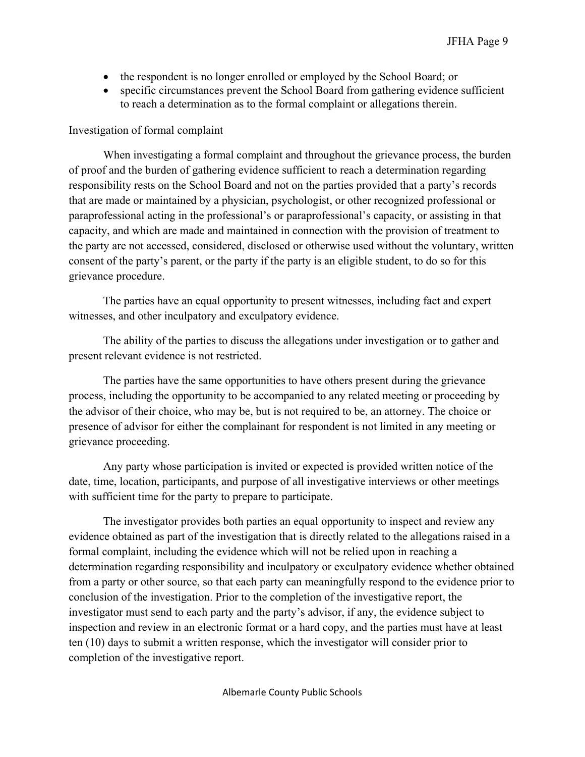- the respondent is no longer enrolled or employed by the School Board; or
- specific circumstances prevent the School Board from gathering evidence sufficient to reach a determination as to the formal complaint or allegations therein.

#### Investigation of formal complaint

When investigating a formal complaint and throughout the grievance process, the burden of proof and the burden of gathering evidence sufficient to reach a determination regarding responsibility rests on the School Board and not on the parties provided that a party's records that are made or maintained by a physician, psychologist, or other recognized professional or paraprofessional acting in the professional's or paraprofessional's capacity, or assisting in that capacity, and which are made and maintained in connection with the provision of treatment to the party are not accessed, considered, disclosed or otherwise used without the voluntary, written consent of the party's parent, or the party if the party is an eligible student, to do so for this grievance procedure.

The parties have an equal opportunity to present witnesses, including fact and expert witnesses, and other inculpatory and exculpatory evidence.

The ability of the parties to discuss the allegations under investigation or to gather and present relevant evidence is not restricted.

The parties have the same opportunities to have others present during the grievance process, including the opportunity to be accompanied to any related meeting or proceeding by the advisor of their choice, who may be, but is not required to be, an attorney. The choice or presence of advisor for either the complainant for respondent is not limited in any meeting or grievance proceeding.

Any party whose participation is invited or expected is provided written notice of the date, time, location, participants, and purpose of all investigative interviews or other meetings with sufficient time for the party to prepare to participate.

The investigator provides both parties an equal opportunity to inspect and review any evidence obtained as part of the investigation that is directly related to the allegations raised in a formal complaint, including the evidence which will not be relied upon in reaching a determination regarding responsibility and inculpatory or exculpatory evidence whether obtained from a party or other source, so that each party can meaningfully respond to the evidence prior to conclusion of the investigation. Prior to the completion of the investigative report, the investigator must send to each party and the party's advisor, if any, the evidence subject to inspection and review in an electronic format or a hard copy, and the parties must have at least ten (10) days to submit a written response, which the investigator will consider prior to completion of the investigative report.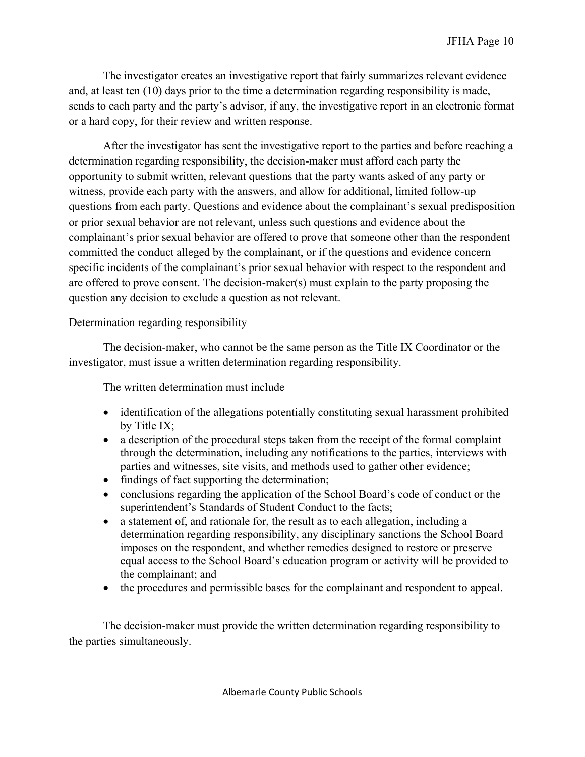The investigator creates an investigative report that fairly summarizes relevant evidence and, at least ten (10) days prior to the time a determination regarding responsibility is made, sends to each party and the party's advisor, if any, the investigative report in an electronic format or a hard copy, for their review and written response.

After the investigator has sent the investigative report to the parties and before reaching a determination regarding responsibility, the decision-maker must afford each party the opportunity to submit written, relevant questions that the party wants asked of any party or witness, provide each party with the answers, and allow for additional, limited follow-up questions from each party. Questions and evidence about the complainant's sexual predisposition or prior sexual behavior are not relevant, unless such questions and evidence about the complainant's prior sexual behavior are offered to prove that someone other than the respondent committed the conduct alleged by the complainant, or if the questions and evidence concern specific incidents of the complainant's prior sexual behavior with respect to the respondent and are offered to prove consent. The decision-maker(s) must explain to the party proposing the question any decision to exclude a question as not relevant.

### Determination regarding responsibility

The decision-maker, who cannot be the same person as the Title IX Coordinator or the investigator, must issue a written determination regarding responsibility.

The written determination must include

- identification of the allegations potentially constituting sexual harassment prohibited by Title IX;
- a description of the procedural steps taken from the receipt of the formal complaint through the determination, including any notifications to the parties, interviews with parties and witnesses, site visits, and methods used to gather other evidence;
- findings of fact supporting the determination;
- conclusions regarding the application of the School Board's code of conduct or the superintendent's Standards of Student Conduct to the facts;
- a statement of, and rationale for, the result as to each allegation, including a determination regarding responsibility, any disciplinary sanctions the School Board imposes on the respondent, and whether remedies designed to restore or preserve equal access to the School Board's education program or activity will be provided to the complainant; and
- the procedures and permissible bases for the complainant and respondent to appeal.

The decision-maker must provide the written determination regarding responsibility to the parties simultaneously.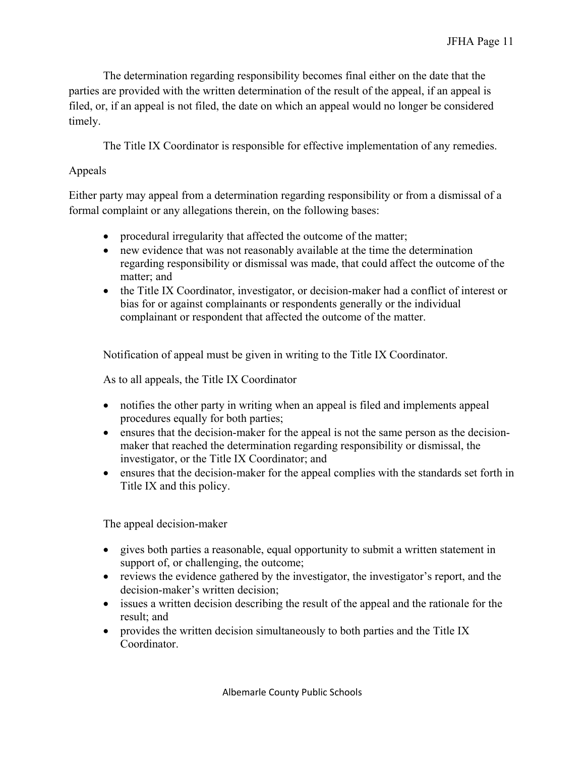The determination regarding responsibility becomes final either on the date that the parties are provided with the written determination of the result of the appeal, if an appeal is filed, or, if an appeal is not filed, the date on which an appeal would no longer be considered timely.

The Title IX Coordinator is responsible for effective implementation of any remedies.

## Appeals

Either party may appeal from a determination regarding responsibility or from a dismissal of a formal complaint or any allegations therein, on the following bases:

- procedural irregularity that affected the outcome of the matter;
- new evidence that was not reasonably available at the time the determination regarding responsibility or dismissal was made, that could affect the outcome of the matter; and
- the Title IX Coordinator, investigator, or decision-maker had a conflict of interest or bias for or against complainants or respondents generally or the individual complainant or respondent that affected the outcome of the matter.

Notification of appeal must be given in writing to the Title IX Coordinator.

As to all appeals, the Title IX Coordinator

- notifies the other party in writing when an appeal is filed and implements appeal procedures equally for both parties;
- ensures that the decision-maker for the appeal is not the same person as the decisionmaker that reached the determination regarding responsibility or dismissal, the investigator, or the Title IX Coordinator; and
- ensures that the decision-maker for the appeal complies with the standards set forth in Title IX and this policy.

The appeal decision-maker

- gives both parties a reasonable, equal opportunity to submit a written statement in support of, or challenging, the outcome;
- reviews the evidence gathered by the investigator, the investigator's report, and the decision-maker's written decision;
- issues a written decision describing the result of the appeal and the rationale for the result; and
- provides the written decision simultaneously to both parties and the Title IX Coordinator.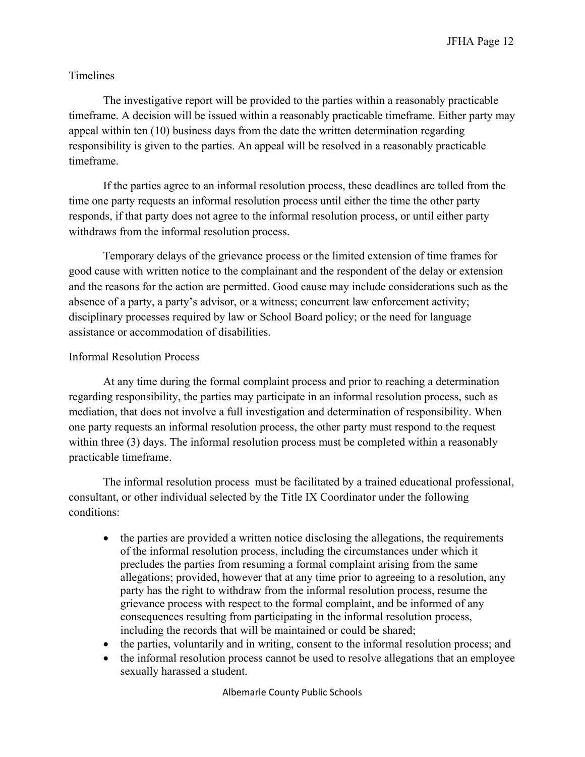## Timelines

The investigative report will be provided to the parties within a reasonably practicable timeframe. A decision will be issued within a reasonably practicable timeframe. Either party may appeal within ten (10) business days from the date the written determination regarding responsibility is given to the parties. An appeal will be resolved in a reasonably practicable timeframe.

If the parties agree to an informal resolution process, these deadlines are tolled from the time one party requests an informal resolution process until either the time the other party responds, if that party does not agree to the informal resolution process, or until either party withdraws from the informal resolution process.

Temporary delays of the grievance process or the limited extension of time frames for good cause with written notice to the complainant and the respondent of the delay or extension and the reasons for the action are permitted. Good cause may include considerations such as the absence of a party, a party's advisor, or a witness; concurrent law enforcement activity; disciplinary processes required by law or School Board policy; or the need for language assistance or accommodation of disabilities.

### Informal Resolution Process

At any time during the formal complaint process and prior to reaching a determination regarding responsibility, the parties may participate in an informal resolution process, such as mediation, that does not involve a full investigation and determination of responsibility. When one party requests an informal resolution process, the other party must respond to the request within three (3) days. The informal resolution process must be completed within a reasonably practicable timeframe.

The informal resolution process must be facilitated by a trained educational professional, consultant, or other individual selected by the Title IX Coordinator under the following conditions:

- the parties are provided a written notice disclosing the allegations, the requirements of the informal resolution process, including the circumstances under which it precludes the parties from resuming a formal complaint arising from the same allegations; provided, however that at any time prior to agreeing to a resolution, any party has the right to withdraw from the informal resolution process, resume the grievance process with respect to the formal complaint, and be informed of any consequences resulting from participating in the informal resolution process, including the records that will be maintained or could be shared;
- the parties, voluntarily and in writing, consent to the informal resolution process; and
- the informal resolution process cannot be used to resolve allegations that an employee sexually harassed a student.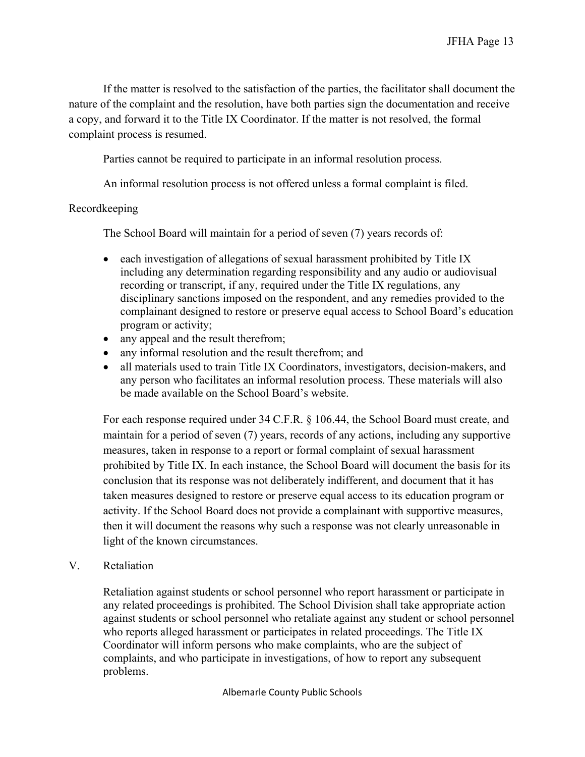If the matter is resolved to the satisfaction of the parties, the facilitator shall document the nature of the complaint and the resolution, have both parties sign the documentation and receive a copy, and forward it to the Title IX Coordinator. If the matter is not resolved, the formal complaint process is resumed.

Parties cannot be required to participate in an informal resolution process.

An informal resolution process is not offered unless a formal complaint is filed.

### Recordkeeping

The School Board will maintain for a period of seven (7) years records of:

- each investigation of allegations of sexual harassment prohibited by Title IX including any determination regarding responsibility and any audio or audiovisual recording or transcript, if any, required under the Title IX regulations, any disciplinary sanctions imposed on the respondent, and any remedies provided to the complainant designed to restore or preserve equal access to School Board's education program or activity;
- any appeal and the result therefrom;
- any informal resolution and the result therefrom; and
- all materials used to train Title IX Coordinators, investigators, decision-makers, and any person who facilitates an informal resolution process. These materials will also be made available on the School Board's website.

For each response required under 34 C.F.R. § 106.44, the School Board must create, and maintain for a period of seven (7) years, records of any actions, including any supportive measures, taken in response to a report or formal complaint of sexual harassment prohibited by Title IX. In each instance, the School Board will document the basis for its conclusion that its response was not deliberately indifferent, and document that it has taken measures designed to restore or preserve equal access to its education program or activity. If the School Board does not provide a complainant with supportive measures, then it will document the reasons why such a response was not clearly unreasonable in light of the known circumstances.

V. Retaliation

Retaliation against students or school personnel who report harassment or participate in any related proceedings is prohibited. The School Division shall take appropriate action against students or school personnel who retaliate against any student or school personnel who reports alleged harassment or participates in related proceedings. The Title IX Coordinator will inform persons who make complaints, who are the subject of complaints, and who participate in investigations, of how to report any subsequent problems.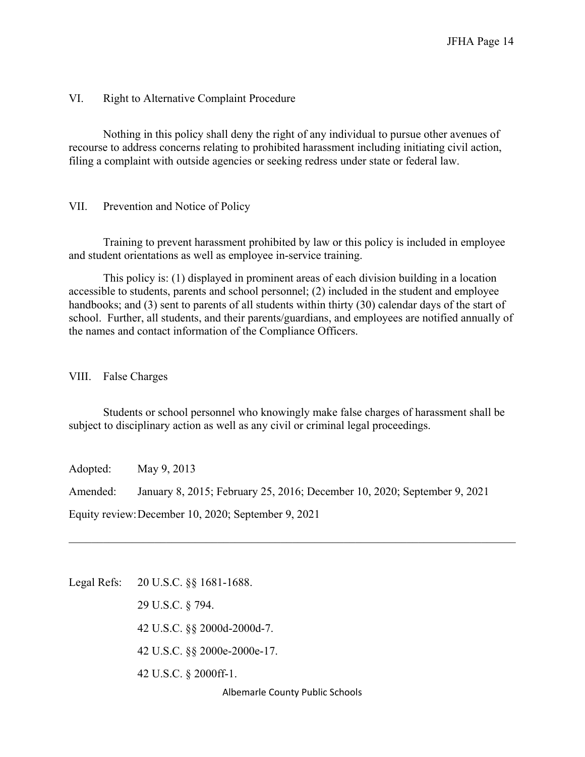#### VI. Right to Alternative Complaint Procedure

Nothing in this policy shall deny the right of any individual to pursue other avenues of recourse to address concerns relating to prohibited harassment including initiating civil action, filing a complaint with outside agencies or seeking redress under state or federal law.

#### VII. Prevention and Notice of Policy

Training to prevent harassment prohibited by law or this policy is included in employee and student orientations as well as employee in-service training.

This policy is: (1) displayed in prominent areas of each division building in a location accessible to students, parents and school personnel; (2) included in the student and employee handbooks; and (3) sent to parents of all students within thirty (30) calendar days of the start of school. Further, all students, and their parents/guardians, and employees are notified annually of the names and contact information of the Compliance Officers.

VIII. False Charges

Students or school personnel who knowingly make false charges of harassment shall be subject to disciplinary action as well as any civil or criminal legal proceedings.

Adopted: May 9, 2013

Amended: January 8, 2015; February 25, 2016; December 10, 2020; September 9, 2021

Equity review:December 10, 2020; September 9, 2021

Legal Refs: 20 U.S.C. §§ 1681-1688.

29 U.S.C. § 794. 42 U.S.C. §§ 2000d-2000d-7. 42 U.S.C. §§ 2000e-2000e-17. 42 U.S.C. § 2000ff-1.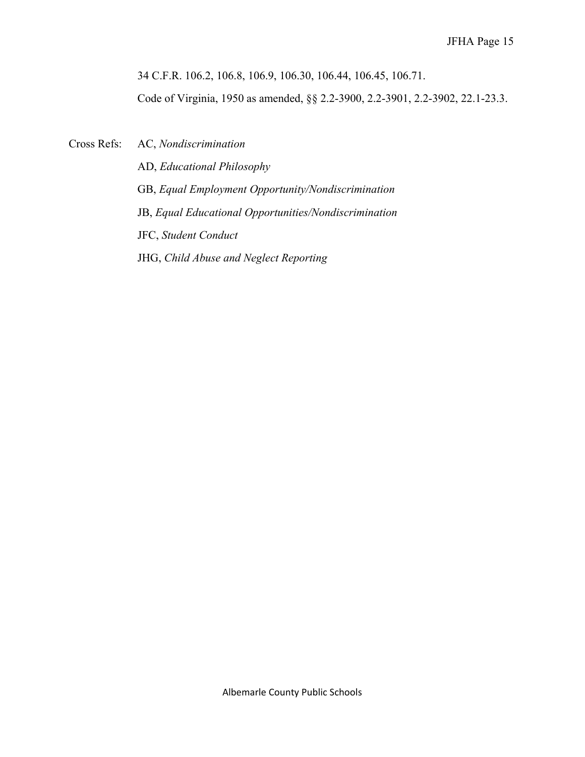34 C.F.R. 106.2, 106.8, 106.9, 106.30, 106.44, 106.45, 106.71.

Code of Virginia, 1950 as amended, §§ 2.2-3900, 2.2-3901, 2.2-3902, 22.1-23.3.

Cross Refs: AC, *Nondiscrimination*

AD, *Educational Philosophy* GB, *Equal Employment Opportunity/Nondiscrimination* JB, *Equal Educational Opportunities/Nondiscrimination* JFC, *Student Conduct* JHG, *Child Abuse and Neglect Reporting*